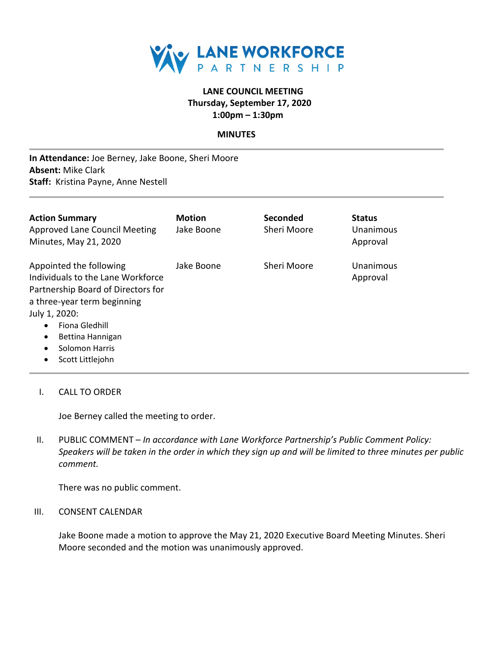

# **LANE COUNCIL MEETING Thursday, September 17, 2020 1:00pm – 1:30pm**

### **MINUTES**

**In Attendance:** Joe Berney, Jake Boone, Sheri Moore **Absent:** Mike Clark **Staff:** Kristina Payne, Anne Nestell

| <b>Action Summary</b><br>Approved Lane Council Meeting<br>Minutes, May 21, 2020                                                                                                                                                      | <b>Motion</b><br>Jake Boone | Seconded<br>Sheri Moore | <b>Status</b><br>Unanimous<br>Approval |
|--------------------------------------------------------------------------------------------------------------------------------------------------------------------------------------------------------------------------------------|-----------------------------|-------------------------|----------------------------------------|
| Appointed the following<br>Individuals to the Lane Workforce<br>Partnership Board of Directors for<br>a three-year term beginning<br>July 1, 2020:<br>Fiona Gledhill<br>Bettina Hannigan<br>$\bullet$<br>Solomon Harris<br>$\bullet$ | Jake Boone                  | Sheri Moore             | Unanimous<br>Approval                  |

- Scott Littlejohn
- I. CALL TO ORDER

Joe Berney called the meeting to order.

II. PUBLIC COMMENT – *In accordance with Lane Workforce Partnership's Public Comment Policy: Speakers will be taken in the order in which they sign up and will be limited to three minutes per public comment.*

There was no public comment.

#### III. CONSENT CALENDAR

Jake Boone made a motion to approve the May 21, 2020 Executive Board Meeting Minutes. Sheri Moore seconded and the motion was unanimously approved.